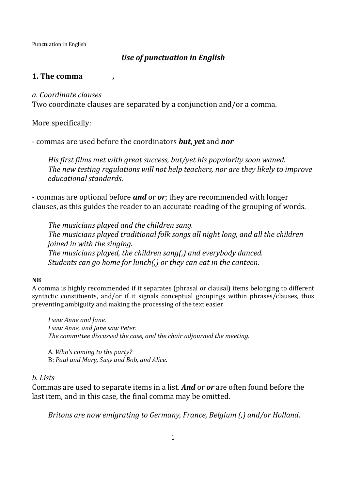# *Use of punctuation in English*

## **1. The comma ,**

### *a. Coordinate clauses*

Two coordinate clauses are separated by a conjunction and/or a comma.

More specifically:

- commas are used before the coordinators *but*, *yet* and *nor*

*His first films met with great success, but/yet his popularity soon waned. The new testing regulations will not help teachers, nor are they likely to improve educational standards*.

- commas are optional before *and* or *or*; they are recommended with longer clauses, as this guides the reader to an accurate reading of the grouping of words.

*The musicians played and the children sang. The musicians played traditional folk songs all night long, and all the children joined in with the singing. The musicians played, the children sang(,) and everybody danced. Students can go home for lunch(,) or they can eat in the canteen*.

#### **NB**

A comma is highly recommended if it separates (phrasal or clausal) items belonging to different syntactic constituents, and/or if it signals conceptual groupings within phrases/clauses, thus preventing ambiguity and making the processing of the text easier.

*I saw Anne and Jane. I saw Anne, and Jane saw Peter. The committee discussed the case, and the chair adjourned the meeting*.

A. *Who's coming to the party?* B: *Paul and Mary, Susy and Bob, and Alice*.

### *b. Lists*

Commas are used to separate items in a list. *And* or *or* are often found before the last item, and in this case, the final comma may be omitted.

*Britons are now emigrating to Germany, France, Belgium (,) and/or Holland*.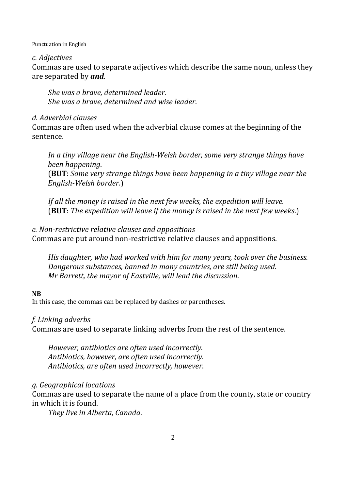### *c. Adjectives*

Commas are used to separate adjectives which describe the same noun, unless they are separated by *and*.

*She was a brave, determined leader*. *She was a brave, determined and wise leader*.

## *d. Adverbial clauses*

Commas are often used when the adverbial clause comes at the beginning of the sentence.

*In a tiny village near the English-Welsh border, some very strange things have been happening*.

(**BUT**: *Some very strange things have been happening in a tiny village near the English-Welsh border.*)

*If all the money is raised in the next few weeks, the expedition will leave*. (**BUT**: *The expedition will leave if the money is raised in the next few weeks*.)

# *e. Non-restrictive relative clauses and appositions*

Commas are put around non-restrictive relative clauses and appositions.

*His daughter, who had worked with him for many years, took over the business. Dangerous substances, banned in many countries, are still being used. Mr Barrett, the mayor of Eastville, will lead the discussion*.

### **NB**

In this case, the commas can be replaced by dashes or parentheses.

# *f. Linking adverbs*

Commas are used to separate linking adverbs from the rest of the sentence.

*However, antibiotics are often used incorrectly. Antibiotics, however, are often used incorrectly. Antibiotics, are often used incorrectly, however*.

# *g. Geographical locations*

Commas are used to separate the name of a place from the county, state or country in which it is found.

*They live in Alberta, Canada*.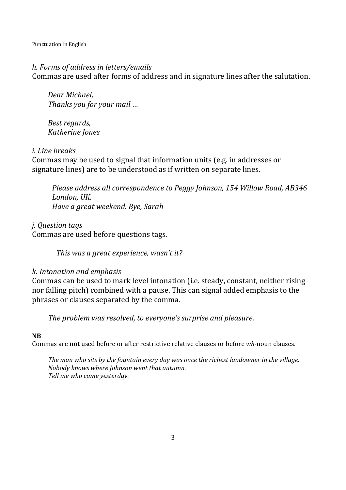### *h. Forms of address in letters/emails*

Commas are used after forms of address and in signature lines after the salutation.

*Dear Michael, Thanks you for your mail* …

*Best regards, Katherine Jones* 

#### *i. Line breaks*

Commas may be used to signal that information units (e.g. in addresses or signature lines) are to be understood as if written on separate lines.

*Please address all correspondence to Peggy Johnson, 154 Willow Road, AB346 London, UK*. *Have a great weekend. Bye, Sarah* 

*j. Question tags*  Commas are used before questions tags.

*This was a great experience, wasn't it?* 

### *k. Intonation and emphasis*

Commas can be used to mark level intonation (i.e. steady, constant, neither rising nor falling pitch) combined with a pause. This can signal added emphasis to the phrases or clauses separated by the comma.

*The problem was resolved, to everyone's surprise and pleasure*.

#### **NB**

Commas are **not** used before or after restrictive relative clauses or before *wh*-noun clauses.

*The man who sits by the fountain every day was once the richest landowner in the village. Nobody knows where Johnson went that autumn. Tell me who came yesterday*.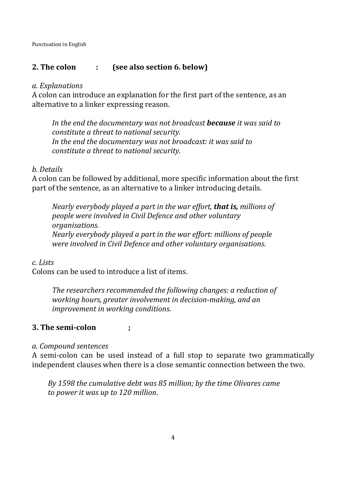# **2. The colon : (see also section 6. below)**

### *a. Explanations*

A colon can introduce an explanation for the first part of the sentence, as an alternative to a linker expressing reason.

*In the end the documentary was not broadcast because it was said to constitute a threat to national security. In the end the documentary was not broadcast: it was said to constitute a threat to national security*.

# *b. Details*

A colon can be followed by additional, more specific information about the first part of the sentence, as an alternative to a linker introducing details.

*Nearly everybody played a part in the war effort, that is, millions of people were involved in Civil Defence and other voluntary organisations. Nearly everybody played a part in the war effort: millions of people were involved in Civil Defence and other voluntary organisations*.

# *c. Lists*

Colons can be used to introduce a list of items.

*The researchers recommended the following changes: a reduction of working hours, greater involvement in decision-making, and an improvement in working conditions*.

# **3. The semi-colon ;**

### *a. Compound sentences*

A semi-colon can be used instead of a full stop to separate two grammatically independent clauses when there is a close semantic connection between the two.

*By 1598 the cumulative debt was 85 million; by the time Olivares came to power it was up to 120 million*.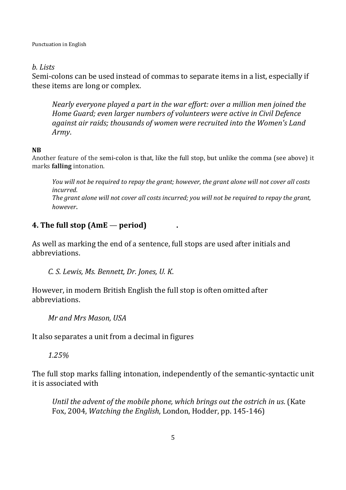### *b. Lists*

Semi-colons can be used instead of commas to separate items in a list, especially if these items are long or complex.

*Nearly everyone played a part in the war effort: over a million men joined the Home Guard; even larger numbers of volunteers were active in Civil Defence against air raids; thousands of women were recruited into the Women's Land Army*.

### **NB**

Another feature of the semi-colon is that, like the full stop, but unlike the comma (see above) it marks **falling** intonation.

*You will not be required to repay the grant; however, the grant alone will not cover all costs incurred*. *The grant alone will not cover all costs incurred; you will not be required to repay the grant, however*.

# **4. The full stop (AmE** — **period) .**

As well as marking the end of a sentence, full stops are used after initials and abbreviations.

*C. S. Lewis, Ms. Bennett, Dr. Jones, U. K*.

However, in modern British English the full stop is often omitted after abbreviations.

*Mr and Mrs Mason, USA* 

It also separates a unit from a decimal in figures

*1.25%* 

The full stop marks falling intonation, independently of the semantic-syntactic unit it is associated with

*Until the advent of the mobile phone, which brings out the ostrich in us*. (Kate Fox, 2004, *Watching the English*, London, Hodder, pp. 145-146)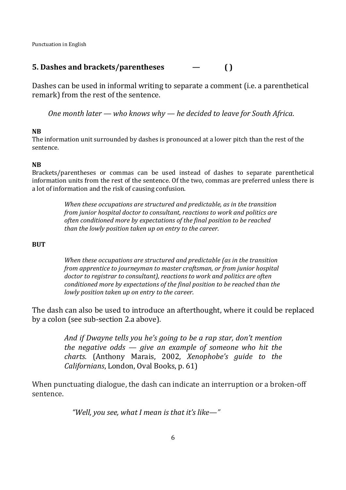# **5. Dashes and brackets/parentheses — ( )**

Dashes can be used in informal writing to separate a comment (i.e. a parenthetical remark) from the rest of the sentence.

*One month later — who knows why — he decided to leave for South Africa*.

#### **NB**

The information unit surrounded by dashes is pronounced at a lower pitch than the rest of the sentence.

#### **NB**

Brackets/parentheses or commas can be used instead of dashes to separate parenthetical information units from the rest of the sentence. Of the two, commas are preferred unless there is a lot of information and the risk of causing confusion.

> *When these occupations are structured and predictable, as in the transition from junior hospital doctor to consultant, reactions to work and politics are often conditioned more by expectations of the final position to be reached than the lowly position taken up on entry to the career*.

#### **BUT**

*When these occupations are structured and predictable (as in the transition from apprentice to journeyman to master craftsman, or from junior hospital doctor to registrar to consultant), reactions to work and politics are often conditioned more by expectations of the final position to be reached than the lowly position taken up on entry to the career*.

The dash can also be used to introduce an afterthought, where it could be replaced by a colon (see sub-section 2.a above).

> *And if Dwayne tells you he's going to be a rap star, don't mention the negative odds — give an example of someone who hit the charts*. (Anthony Marais, 2002, *Xenophobe's guide to the Californians*, London, Oval Books, p. 61)

When punctuating dialogue, the dash can indicate an interruption or a broken-off sentence.

*"Well, you see, what I mean is that it's like—"*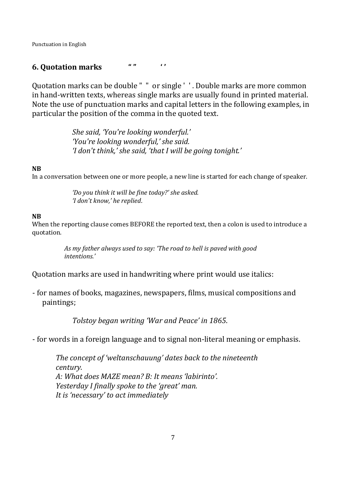### **6. Quotation marks " " ' '**

Quotation marks can be double " " or single ' ' . Double marks are more common in hand-written texts, whereas single marks are usually found in printed material. Note the use of punctuation marks and capital letters in the following examples, in particular the position of the comma in the quoted text.

> *She said, 'You're looking wonderful.' 'You're looking wonderful,' she said. 'I don't think,' she said, 'that I will be going tonight.'*

#### **NB**

In a conversation between one or more people, a new line is started for each change of speaker.

*'Do you think it will be fine today?' she asked. 'I don't know,' he replied*.

#### **NB**

When the reporting clause comes BEFORE the reported text, then a colon is used to introduce a quotation.

> *As my father always used to say: 'The road to hell is paved with good intentions.'*

Quotation marks are used in handwriting where print would use italics:

- for names of books, magazines, newspapers, films, musical compositions and paintings;

*Tolstoy began writing 'War and Peace' in 1865*.

- for words in a foreign language and to signal non-literal meaning or emphasis.

*The concept of 'weltanschauung' dates back to the nineteenth century. A: What does MAZE mean? B: It means 'labirinto'. Yesterday I finally spoke to the 'great' man. It is 'necessary' to act immediately*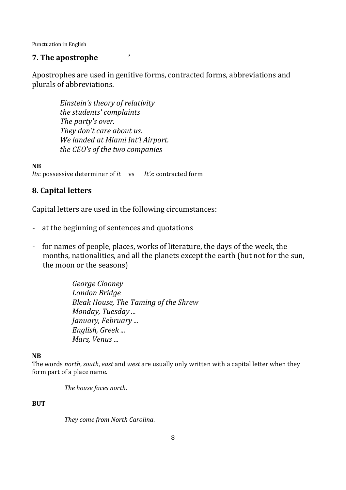## **7. The apostrophe '**

Apostrophes are used in genitive forms, contracted forms, abbreviations and plurals of abbreviations.

> *Einstein's theory of relativity the students' complaints The party's over. They don't care about us. We landed at Miami Int'l Airport. the CEO's of the two companies*

**NB**

*Its*: possessive determiner of *it* vs *It's*: contracted form

# **8. Capital letters**

Capital letters are used in the following circumstances:

- at the beginning of sentences and quotations
- for names of people, places, works of literature, the days of the week, the months, nationalities, and all the planets except the earth (but not for the sun, the moon or the seasons)

*George Clooney London Bridge Bleak House, The Taming of the Shrew Monday, Tuesday ... January, February ... English, Greek ... Mars, Venus* ...

#### **NB**

The words *north*, *south*, *east* and *west* are usually only written with a capital letter when they form part of a place name.

*The house faces north*.

#### **BUT**

*They come from North Carolina*.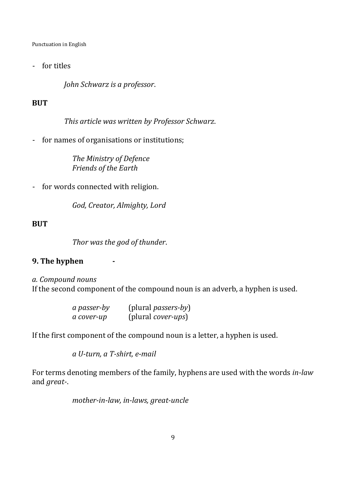- for titles

*John Schwarz is a professor*.

# **BUT**

*This article was written by Professor Schwarz*.

- for names of organisations or institutions;

*The Ministry of Defence Friends of the Earth*

- for words connected with religion.

*God, Creator, Almighty, Lord* 

# **BUT**

*Thor was the god of thunder*.

# **9. The hyphen**

*a. Compound nouns* If the second component of the compound noun is an adverb, a hyphen is used.

| a passer-by | (plural <i>passers-by</i> ) |
|-------------|-----------------------------|
| a cover-up  | (plural <i>cover-ups</i> )  |

If the first component of the compound noun is a letter, a hyphen is used.

*a U-turn, a T-shirt, e-mail* 

For terms denoting members of the family, hyphens are used with the words *in-law* and *great-*.

*mother-in-law, in-laws, great-uncle*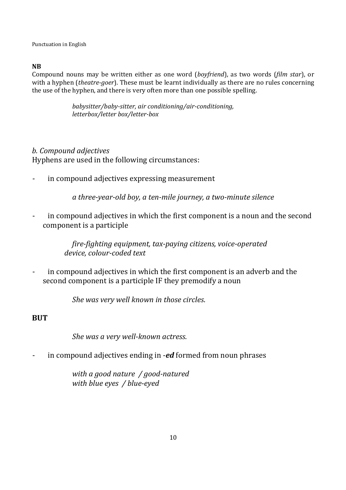### **NB**

Compound nouns may be written either as one word (*boyfriend*), as two words (*film star*), or with a hyphen (*theatre-goer*). These must be learnt individually as there are no rules concerning the use of the hyphen, and there is very often more than one possible spelling.

> *babysitter/baby-sitter, air conditioning/air-conditioning, letterbox/letter box/letter-box*

### *b. Compound adjectives*

Hyphens are used in the following circumstances:

in compound adjectives expressing measurement

*a three-year-old boy, a ten-mile journey, a two-minute silence* 

in compound adjectives in which the first component is a noun and the second component is a participle

> *fire-fighting equipment, tax-paying citizens, voice-operated device, colour-coded text*

in compound adjectives in which the first component is an adverb and the second component is a participle IF they premodify a noun

*She was very well known in those circles*.

# **BUT**

*She was a very well-known actress*.

- in compound adjectives ending in -*ed* formed from noun phrases

*with a good nature / good-natured with blue eyes / blue-eyed*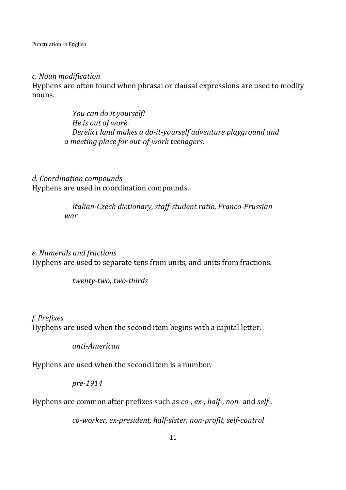#### *c. Noun modification*

Hyphens are often found when phrasal or clausal expressions are used to modify nouns.

> *You can do it yourself! He is out of work. Derelict land makes a do-it-yourself adventure playground and a meeting place for out-of-work teenagers*.

*d. Coordination compounds*  Hyphens are used in coordination compounds.

> *Italian-Czech dictionary, staff-student ratio, Franco-Prussian war*

### *e. Numerals and fractions*

Hyphens are used to separate tens from units, and units from fractions.

*twenty-two, two-thirds*

#### *f. Prefixes*

Hyphens are used when the second item begins with a capital letter.

*anti-American* 

Hyphens are used when the second item is a number.

*pre-1914* 

Hyphens are common after prefixes such as *co-, ex-, half-, non*- and *self*-.

*co-worker, ex-president, half-sister, non-profit, self-control*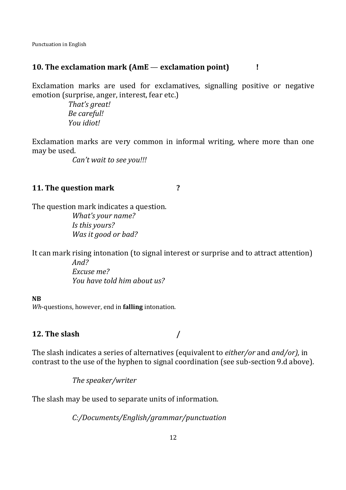### **10. The exclamation mark (AmE** — **exclamation point) !**

Exclamation marks are used for exclamatives, signalling positive or negative emotion (surprise, anger, interest, fear etc.)

> *That's great! Be careful! You idiot!*

Exclamation marks are very common in informal writing, where more than one may be used.

*Can't wait to see you!!!* 

# **11. The question mark ?**

The question mark indicates a question. *What's your name? Is this yours? Was it good or bad?*

It can mark rising intonation (to signal interest or surprise and to attract attention) *And?* 

*Excuse me? You have told him about us?*

#### **NB**

*Wh*-questions, however, end in **falling** intonation.

### **12. The slash /**

The slash indicates a series of alternatives (equivalent to *either/or* and *and/or),* in contrast to the use of the hyphen to signal coordination (see sub-section 9.d above).

*The speaker/writer* 

The slash may be used to separate units of information.

*C:/Documents/English/grammar/punctuation*